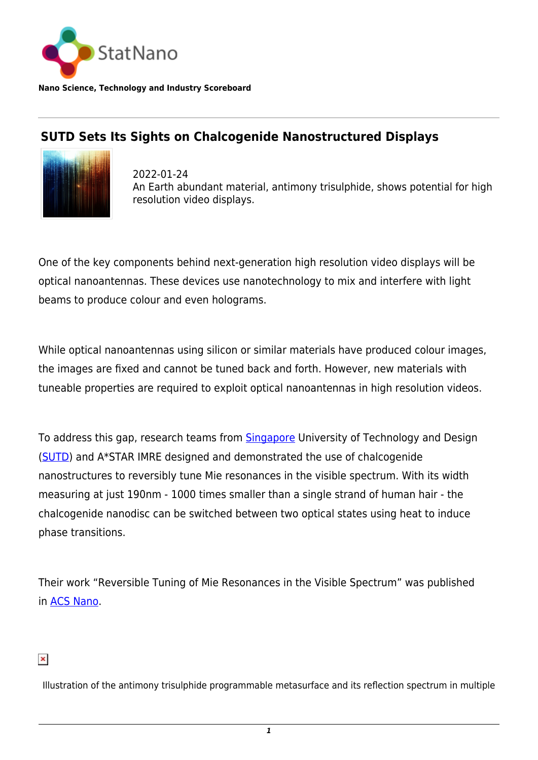

**Nano Science, Technology and Industry Scoreboard**

## **SUTD Sets Its Sights on Chalcogenide Nanostructured Displays**



2022-01-24 An Earth abundant material, antimony trisulphide, shows potential for high resolution video displays.

One of the key components behind next-generation high resolution video displays will be optical nanoantennas. These devices use nanotechnology to mix and interfere with light beams to produce colour and even holograms.

While optical nanoantennas using silicon or similar materials have produced colour images, the images are fixed and cannot be tuned back and forth. However, new materials with tuneable properties are required to exploit optical nanoantennas in high resolution videos.

To address this gap, research teams from **Singapore** University of Technology and Design ([SUTD](https://www.sutd.edu.sg/)) and A\*STAR IMRE designed and demonstrated the use of chalcogenide nanostructures to reversibly tune Mie resonances in the visible spectrum. With its width measuring at just 190nm - 1000 times smaller than a single strand of human hair - the chalcogenide nanodisc can be switched between two optical states using heat to induce phase transitions.

Their work "Reversible Tuning of Mie Resonances in the Visible Spectrum" was published in [ACS Nano](https://pubs.acs.org/doi/10.1021/acsnano.1c07114).

## $\pmb{\times}$

Illustration of the antimony trisulphide programmable metasurface and its reflection spectrum in multiple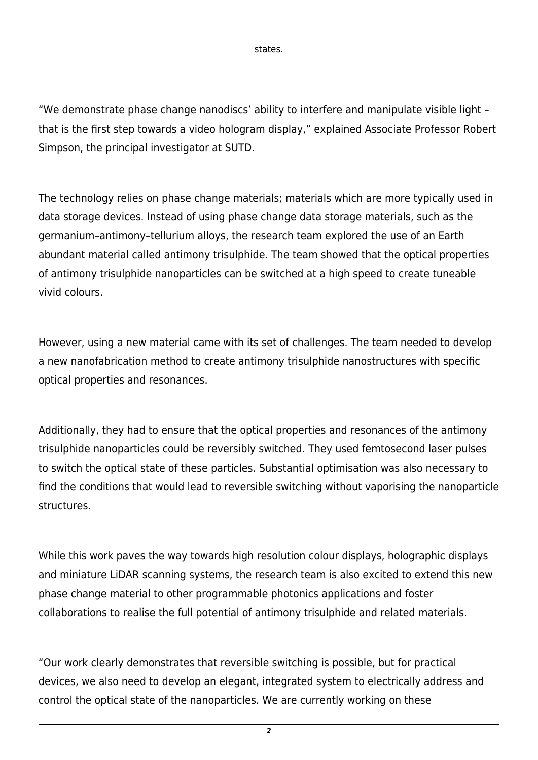states.

"We demonstrate phase change nanodiscs' ability to interfere and manipulate visible light – that is the first step towards a video hologram display," explained Associate Professor Robert Simpson, the principal investigator at SUTD.

The technology relies on phase change materials; materials which are more typically used in data storage devices. Instead of using phase change data storage materials, such as the germanium–antimony–tellurium alloys, the research team explored the use of an Earth abundant material called antimony trisulphide. The team showed that the optical properties of antimony trisulphide nanoparticles can be switched at a high speed to create tuneable vivid colours.

However, using a new material came with its set of challenges. The team needed to develop a new nanofabrication method to create antimony trisulphide nanostructures with specific optical properties and resonances.

Additionally, they had to ensure that the optical properties and resonances of the antimony trisulphide nanoparticles could be reversibly switched. They used femtosecond laser pulses to switch the optical state of these particles. Substantial optimisation was also necessary to find the conditions that would lead to reversible switching without vaporising the nanoparticle structures.

While this work paves the way towards high resolution colour displays, holographic displays and miniature LiDAR scanning systems, the research team is also excited to extend this new phase change material to other programmable photonics applications and foster collaborations to realise the full potential of antimony trisulphide and related materials.

"Our work clearly demonstrates that reversible switching is possible, but for practical devices, we also need to develop an elegant, integrated system to electrically address and control the optical state of the nanoparticles. We are currently working on these